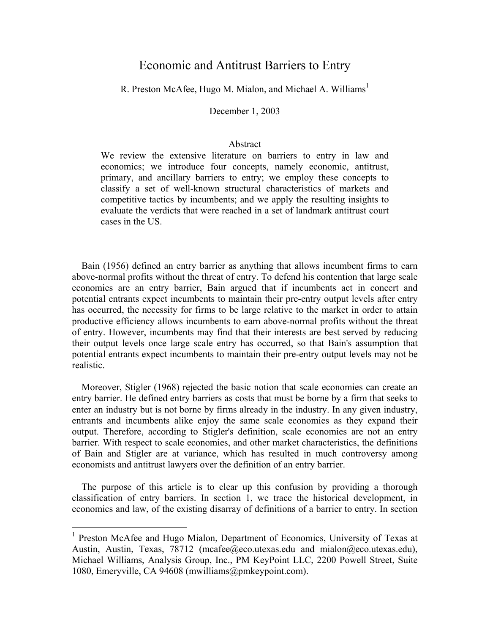# Economic and Antitrust Barriers to Entry

### R. Preston McAfee, Hugo M. Mialon, and Michael A. Williams<sup>1</sup>

December 1, 2003

### Abstract

We review the extensive literature on barriers to entry in law and economics; we introduce four concepts, namely economic, antitrust, primary, and ancillary barriers to entry; we employ these concepts to classify a set of well-known structural characteristics of markets and competitive tactics by incumbents; and we apply the resulting insights to evaluate the verdicts that were reached in a set of landmark antitrust court cases in the US.

 Bain (1956) defined an entry barrier as anything that allows incumbent firms to earn above-normal profits without the threat of entry. To defend his contention that large scale economies are an entry barrier, Bain argued that if incumbents act in concert and potential entrants expect incumbents to maintain their pre-entry output levels after entry has occurred, the necessity for firms to be large relative to the market in order to attain productive efficiency allows incumbents to earn above-normal profits without the threat of entry. However, incumbents may find that their interests are best served by reducing their output levels once large scale entry has occurred, so that Bain's assumption that potential entrants expect incumbents to maintain their pre-entry output levels may not be realistic.

 Moreover, Stigler (1968) rejected the basic notion that scale economies can create an entry barrier. He defined entry barriers as costs that must be borne by a firm that seeks to enter an industry but is not borne by firms already in the industry. In any given industry, entrants and incumbents alike enjoy the same scale economies as they expand their output. Therefore, according to Stigler's definition, scale economies are not an entry barrier. With respect to scale economies, and other market characteristics, the definitions of Bain and Stigler are at variance, which has resulted in much controversy among economists and antitrust lawyers over the definition of an entry barrier.

 The purpose of this article is to clear up this confusion by providing a thorough classification of entry barriers. In section 1, we trace the historical development, in economics and law, of the existing disarray of definitions of a barrier to entry. In section

 $\overline{a}$ 

<sup>&</sup>lt;sup>1</sup> Preston McAfee and Hugo Mialon, Department of Economics, University of Texas at Austin, Austin, Texas, 78712 (mcafee@eco.utexas.edu and mialon@eco.utexas.edu), Michael Williams, Analysis Group, Inc., PM KeyPoint LLC, 2200 Powell Street, Suite 1080, Emeryville, CA 94608 (mwilliams@pmkeypoint.com).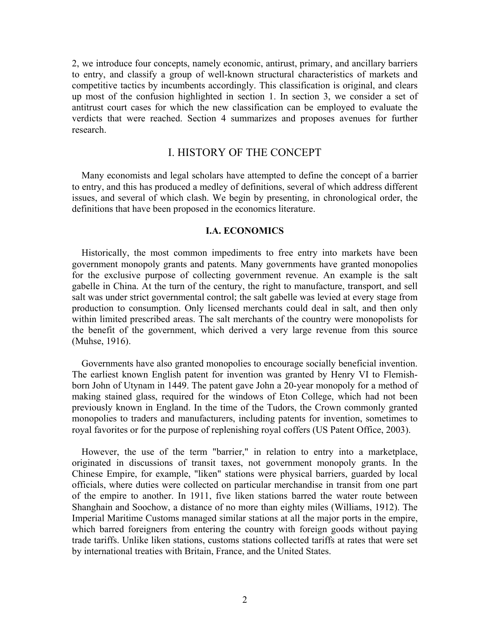2, we introduce four concepts, namely economic, antirust, primary, and ancillary barriers to entry, and classify a group of well-known structural characteristics of markets and competitive tactics by incumbents accordingly. This classification is original, and clears up most of the confusion highlighted in section 1. In section 3, we consider a set of antitrust court cases for which the new classification can be employed to evaluate the verdicts that were reached. Section 4 summarizes and proposes avenues for further research.

# I. HISTORY OF THE CONCEPT

 Many economists and legal scholars have attempted to define the concept of a barrier to entry, and this has produced a medley of definitions, several of which address different issues, and several of which clash. We begin by presenting, in chronological order, the definitions that have been proposed in the economics literature.

### **I.A. ECONOMICS**

 Historically, the most common impediments to free entry into markets have been government monopoly grants and patents. Many governments have granted monopolies for the exclusive purpose of collecting government revenue. An example is the salt gabelle in China. At the turn of the century, the right to manufacture, transport, and sell salt was under strict governmental control; the salt gabelle was levied at every stage from production to consumption. Only licensed merchants could deal in salt, and then only within limited prescribed areas. The salt merchants of the country were monopolists for the benefit of the government, which derived a very large revenue from this source (Muhse, 1916).

 Governments have also granted monopolies to encourage socially beneficial invention. The earliest known English patent for invention was granted by Henry VI to Flemishborn John of Utynam in 1449. The patent gave John a 20-year monopoly for a method of making stained glass, required for the windows of Eton College, which had not been previously known in England. In the time of the Tudors, the Crown commonly granted monopolies to traders and manufacturers, including patents for invention, sometimes to royal favorites or for the purpose of replenishing royal coffers (US Patent Office, 2003).

 However, the use of the term "barrier," in relation to entry into a marketplace, originated in discussions of transit taxes, not government monopoly grants. In the Chinese Empire, for example, "liken" stations were physical barriers, guarded by local officials, where duties were collected on particular merchandise in transit from one part of the empire to another. In 1911, five liken stations barred the water route between Shanghain and Soochow, a distance of no more than eighty miles (Williams, 1912). The Imperial Maritime Customs managed similar stations at all the major ports in the empire, which barred foreigners from entering the country with foreign goods without paying trade tariffs. Unlike liken stations, customs stations collected tariffs at rates that were set by international treaties with Britain, France, and the United States.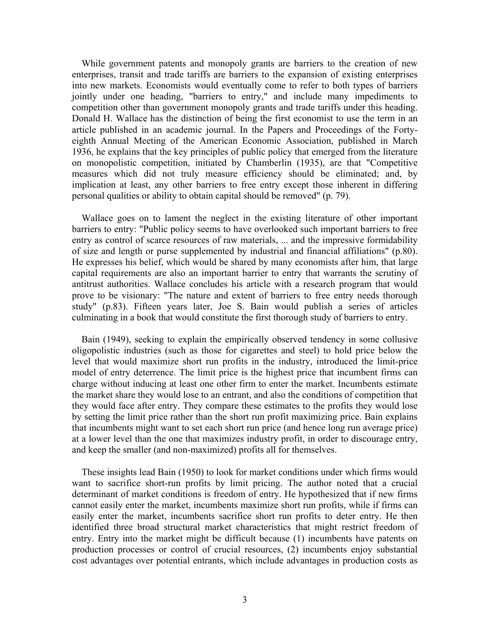While government patents and monopoly grants are barriers to the creation of new enterprises, transit and trade tariffs are barriers to the expansion of existing enterprises into new markets. Economists would eventually come to refer to both types of barriers jointly under one heading, "barriers to entry," and include many impediments to competition other than government monopoly grants and trade tariffs under this heading. Donald H. Wallace has the distinction of being the first economist to use the term in an article published in an academic journal. In the Papers and Proceedings of the Fortyeighth Annual Meeting of the American Economic Association, published in March 1936, he explains that the key principles of public policy that emerged from the literature on monopolistic competition, initiated by Chamberlin (1935), are that "Competitive measures which did not truly measure efficiency should be eliminated; and, by implication at least, any other barriers to free entry except those inherent in differing personal qualities or ability to obtain capital should be removed" (p. 79).

 Wallace goes on to lament the neglect in the existing literature of other important barriers to entry: "Public policy seems to have overlooked such important barriers to free entry as control of scarce resources of raw materials, ... and the impressive formidability of size and length or purse supplemented by industrial and financial affiliations" (p.80). He expresses his belief, which would be shared by many economists after him, that large capital requirements are also an important barrier to entry that warrants the scrutiny of antitrust authorities. Wallace concludes his article with a research program that would prove to be visionary: "The nature and extent of barriers to free entry needs thorough study" (p.83). Fifteen years later, Joe S. Bain would publish a series of articles culminating in a book that would constitute the first thorough study of barriers to entry.

 Bain (1949), seeking to explain the empirically observed tendency in some collusive oligopolistic industries (such as those for cigarettes and steel) to hold price below the level that would maximize short run profits in the industry, introduced the limit-price model of entry deterrence. The limit price is the highest price that incumbent firms can charge without inducing at least one other firm to enter the market. Incumbents estimate the market share they would lose to an entrant, and also the conditions of competition that they would face after entry. They compare these estimates to the profits they would lose by setting the limit price rather than the short run profit maximizing price. Bain explains that incumbents might want to set each short run price (and hence long run average price) at a lower level than the one that maximizes industry profit, in order to discourage entry, and keep the smaller (and non-maximized) profits all for themselves.

 These insights lead Bain (1950) to look for market conditions under which firms would want to sacrifice short-run profits by limit pricing. The author noted that a crucial determinant of market conditions is freedom of entry. He hypothesized that if new firms cannot easily enter the market, incumbents maximize short run profits, while if firms can easily enter the market, incumbents sacrifice short run profits to deter entry. He then identified three broad structural market characteristics that might restrict freedom of entry. Entry into the market might be difficult because (1) incumbents have patents on production processes or control of crucial resources, (2) incumbents enjoy substantial cost advantages over potential entrants, which include advantages in production costs as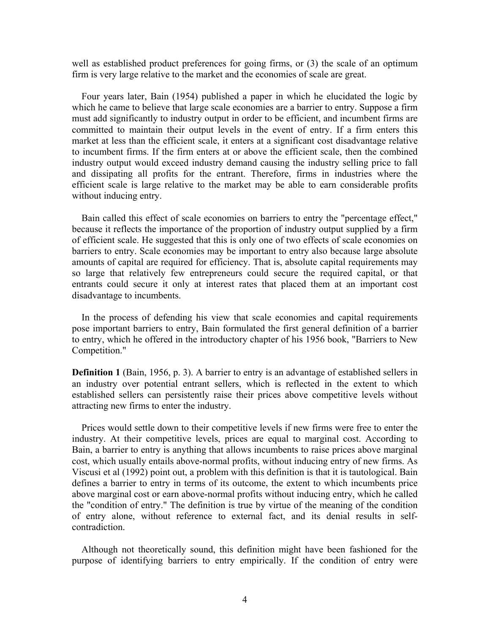well as established product preferences for going firms, or (3) the scale of an optimum firm is very large relative to the market and the economies of scale are great.

 Four years later, Bain (1954) published a paper in which he elucidated the logic by which he came to believe that large scale economies are a barrier to entry. Suppose a firm must add significantly to industry output in order to be efficient, and incumbent firms are committed to maintain their output levels in the event of entry. If a firm enters this market at less than the efficient scale, it enters at a significant cost disadvantage relative to incumbent firms. If the firm enters at or above the efficient scale, then the combined industry output would exceed industry demand causing the industry selling price to fall and dissipating all profits for the entrant. Therefore, firms in industries where the efficient scale is large relative to the market may be able to earn considerable profits without inducing entry.

 Bain called this effect of scale economies on barriers to entry the "percentage effect," because it reflects the importance of the proportion of industry output supplied by a firm of efficient scale. He suggested that this is only one of two effects of scale economies on barriers to entry. Scale economies may be important to entry also because large absolute amounts of capital are required for efficiency. That is, absolute capital requirements may so large that relatively few entrepreneurs could secure the required capital, or that entrants could secure it only at interest rates that placed them at an important cost disadvantage to incumbents.

 In the process of defending his view that scale economies and capital requirements pose important barriers to entry, Bain formulated the first general definition of a barrier to entry, which he offered in the introductory chapter of his 1956 book, "Barriers to New Competition."

**Definition 1** (Bain, 1956, p. 3). A barrier to entry is an advantage of established sellers in an industry over potential entrant sellers, which is reflected in the extent to which established sellers can persistently raise their prices above competitive levels without attracting new firms to enter the industry.

 Prices would settle down to their competitive levels if new firms were free to enter the industry. At their competitive levels, prices are equal to marginal cost. According to Bain, a barrier to entry is anything that allows incumbents to raise prices above marginal cost, which usually entails above-normal profits, without inducing entry of new firms. As Viscusi et al (1992) point out, a problem with this definition is that it is tautological. Bain defines a barrier to entry in terms of its outcome, the extent to which incumbents price above marginal cost or earn above-normal profits without inducing entry, which he called the "condition of entry." The definition is true by virtue of the meaning of the condition of entry alone, without reference to external fact, and its denial results in selfcontradiction.

 Although not theoretically sound, this definition might have been fashioned for the purpose of identifying barriers to entry empirically. If the condition of entry were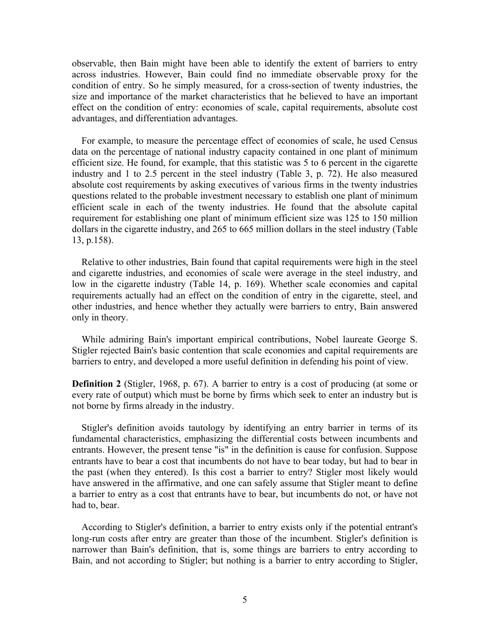observable, then Bain might have been able to identify the extent of barriers to entry across industries. However, Bain could find no immediate observable proxy for the condition of entry. So he simply measured, for a cross-section of twenty industries, the size and importance of the market characteristics that he believed to have an important effect on the condition of entry: economies of scale, capital requirements, absolute cost advantages, and differentiation advantages.

 For example, to measure the percentage effect of economies of scale, he used Census data on the percentage of national industry capacity contained in one plant of minimum efficient size. He found, for example, that this statistic was 5 to 6 percent in the cigarette industry and 1 to 2.5 percent in the steel industry (Table 3, p. 72). He also measured absolute cost requirements by asking executives of various firms in the twenty industries questions related to the probable investment necessary to establish one plant of minimum efficient scale in each of the twenty industries. He found that the absolute capital requirement for establishing one plant of minimum efficient size was 125 to 150 million dollars in the cigarette industry, and 265 to 665 million dollars in the steel industry (Table 13, p.158).

 Relative to other industries, Bain found that capital requirements were high in the steel and cigarette industries, and economies of scale were average in the steel industry, and low in the cigarette industry (Table 14, p. 169). Whether scale economies and capital requirements actually had an effect on the condition of entry in the cigarette, steel, and other industries, and hence whether they actually were barriers to entry, Bain answered only in theory.

 While admiring Bain's important empirical contributions, Nobel laureate George S. Stigler rejected Bain's basic contention that scale economies and capital requirements are barriers to entry, and developed a more useful definition in defending his point of view.

**Definition 2** (Stigler, 1968, p. 67). A barrier to entry is a cost of producing (at some or every rate of output) which must be borne by firms which seek to enter an industry but is not borne by firms already in the industry.

 Stigler's definition avoids tautology by identifying an entry barrier in terms of its fundamental characteristics, emphasizing the differential costs between incumbents and entrants. However, the present tense "is" in the definition is cause for confusion. Suppose entrants have to bear a cost that incumbents do not have to bear today, but had to bear in the past (when they entered). Is this cost a barrier to entry? Stigler most likely would have answered in the affirmative, and one can safely assume that Stigler meant to define a barrier to entry as a cost that entrants have to bear, but incumbents do not, or have not had to, bear.

 According to Stigler's definition, a barrier to entry exists only if the potential entrant's long-run costs after entry are greater than those of the incumbent. Stigler's definition is narrower than Bain's definition, that is, some things are barriers to entry according to Bain, and not according to Stigler; but nothing is a barrier to entry according to Stigler,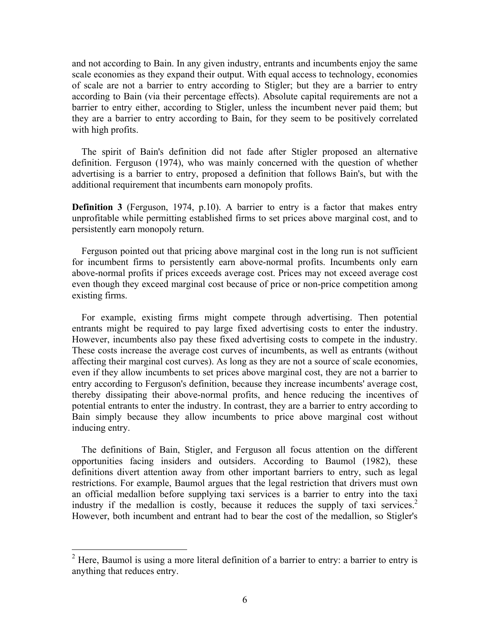and not according to Bain. In any given industry, entrants and incumbents enjoy the same scale economies as they expand their output. With equal access to technology, economies of scale are not a barrier to entry according to Stigler; but they are a barrier to entry according to Bain (via their percentage effects). Absolute capital requirements are not a barrier to entry either, according to Stigler, unless the incumbent never paid them; but they are a barrier to entry according to Bain, for they seem to be positively correlated with high profits.

 The spirit of Bain's definition did not fade after Stigler proposed an alternative definition. Ferguson (1974), who was mainly concerned with the question of whether advertising is a barrier to entry, proposed a definition that follows Bain's, but with the additional requirement that incumbents earn monopoly profits.

**Definition 3** (Ferguson, 1974, p.10). A barrier to entry is a factor that makes entry unprofitable while permitting established firms to set prices above marginal cost, and to persistently earn monopoly return.

 Ferguson pointed out that pricing above marginal cost in the long run is not sufficient for incumbent firms to persistently earn above-normal profits. Incumbents only earn above-normal profits if prices exceeds average cost. Prices may not exceed average cost even though they exceed marginal cost because of price or non-price competition among existing firms.

 For example, existing firms might compete through advertising. Then potential entrants might be required to pay large fixed advertising costs to enter the industry. However, incumbents also pay these fixed advertising costs to compete in the industry. These costs increase the average cost curves of incumbents, as well as entrants (without affecting their marginal cost curves). As long as they are not a source of scale economies, even if they allow incumbents to set prices above marginal cost, they are not a barrier to entry according to Ferguson's definition, because they increase incumbents' average cost, thereby dissipating their above-normal profits, and hence reducing the incentives of potential entrants to enter the industry. In contrast, they are a barrier to entry according to Bain simply because they allow incumbents to price above marginal cost without inducing entry.

 The definitions of Bain, Stigler, and Ferguson all focus attention on the different opportunities facing insiders and outsiders. According to Baumol (1982), these definitions divert attention away from other important barriers to entry, such as legal restrictions. For example, Baumol argues that the legal restriction that drivers must own an official medallion before supplying taxi services is a barrier to entry into the taxi industry if the medallion is costly, because it reduces the supply of taxi services.<sup>2</sup> However, both incumbent and entrant had to bear the cost of the medallion, so Stigler's

1

 $2^2$  Here, Baumol is using a more literal definition of a barrier to entry: a barrier to entry is anything that reduces entry.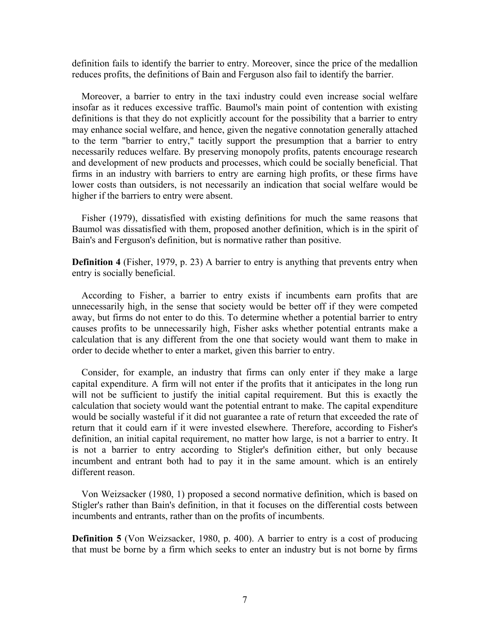definition fails to identify the barrier to entry. Moreover, since the price of the medallion reduces profits, the definitions of Bain and Ferguson also fail to identify the barrier.

 Moreover, a barrier to entry in the taxi industry could even increase social welfare insofar as it reduces excessive traffic. Baumol's main point of contention with existing definitions is that they do not explicitly account for the possibility that a barrier to entry may enhance social welfare, and hence, given the negative connotation generally attached to the term "barrier to entry," tacitly support the presumption that a barrier to entry necessarily reduces welfare. By preserving monopoly profits, patents encourage research and development of new products and processes, which could be socially beneficial. That firms in an industry with barriers to entry are earning high profits, or these firms have lower costs than outsiders, is not necessarily an indication that social welfare would be higher if the barriers to entry were absent.

 Fisher (1979), dissatisfied with existing definitions for much the same reasons that Baumol was dissatisfied with them, proposed another definition, which is in the spirit of Bain's and Ferguson's definition, but is normative rather than positive.

**Definition 4** (Fisher, 1979, p. 23) A barrier to entry is anything that prevents entry when entry is socially beneficial.

 According to Fisher, a barrier to entry exists if incumbents earn profits that are unnecessarily high, in the sense that society would be better off if they were competed away, but firms do not enter to do this. To determine whether a potential barrier to entry causes profits to be unnecessarily high, Fisher asks whether potential entrants make a calculation that is any different from the one that society would want them to make in order to decide whether to enter a market, given this barrier to entry.

 Consider, for example, an industry that firms can only enter if they make a large capital expenditure. A firm will not enter if the profits that it anticipates in the long run will not be sufficient to justify the initial capital requirement. But this is exactly the calculation that society would want the potential entrant to make. The capital expenditure would be socially wasteful if it did not guarantee a rate of return that exceeded the rate of return that it could earn if it were invested elsewhere. Therefore, according to Fisher's definition, an initial capital requirement, no matter how large, is not a barrier to entry. It is not a barrier to entry according to Stigler's definition either, but only because incumbent and entrant both had to pay it in the same amount. which is an entirely different reason.

 Von Weizsacker (1980, 1) proposed a second normative definition, which is based on Stigler's rather than Bain's definition, in that it focuses on the differential costs between incumbents and entrants, rather than on the profits of incumbents.

**Definition 5** (Von Weizsacker, 1980, p. 400). A barrier to entry is a cost of producing that must be borne by a firm which seeks to enter an industry but is not borne by firms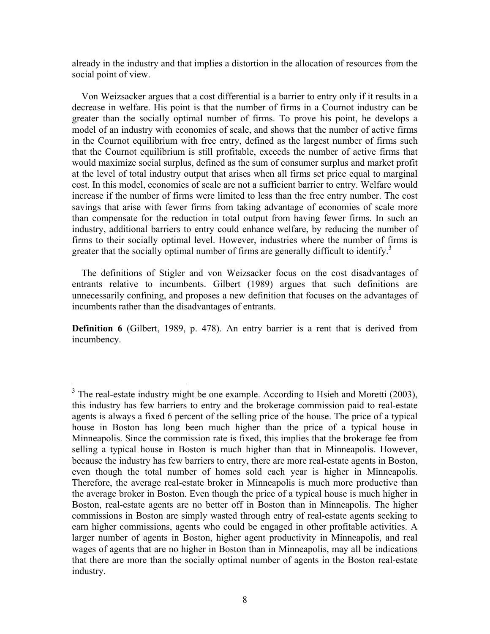already in the industry and that implies a distortion in the allocation of resources from the social point of view.

 Von Weizsacker argues that a cost differential is a barrier to entry only if it results in a decrease in welfare. His point is that the number of firms in a Cournot industry can be greater than the socially optimal number of firms. To prove his point, he develops a model of an industry with economies of scale, and shows that the number of active firms in the Cournot equilibrium with free entry, defined as the largest number of firms such that the Cournot equilibrium is still profitable, exceeds the number of active firms that would maximize social surplus, defined as the sum of consumer surplus and market profit at the level of total industry output that arises when all firms set price equal to marginal cost. In this model, economies of scale are not a sufficient barrier to entry. Welfare would increase if the number of firms were limited to less than the free entry number. The cost savings that arise with fewer firms from taking advantage of economies of scale more than compensate for the reduction in total output from having fewer firms. In such an industry, additional barriers to entry could enhance welfare, by reducing the number of firms to their socially optimal level. However, industries where the number of firms is greater that the socially optimal number of firms are generally difficult to identify.<sup>3</sup>

 The definitions of Stigler and von Weizsacker focus on the cost disadvantages of entrants relative to incumbents. Gilbert (1989) argues that such definitions are unnecessarily confining, and proposes a new definition that focuses on the advantages of incumbents rather than the disadvantages of entrants.

**Definition 6** (Gilbert, 1989, p. 478). An entry barrier is a rent that is derived from incumbency.

<sup>&</sup>lt;sup>3</sup> The real-estate industry might be one example. According to Hsieh and Moretti (2003), this industry has few barriers to entry and the brokerage commission paid to real-estate agents is always a fixed 6 percent of the selling price of the house. The price of a typical house in Boston has long been much higher than the price of a typical house in Minneapolis. Since the commission rate is fixed, this implies that the brokerage fee from selling a typical house in Boston is much higher than that in Minneapolis. However, because the industry has few barriers to entry, there are more real-estate agents in Boston, even though the total number of homes sold each year is higher in Minneapolis. Therefore, the average real-estate broker in Minneapolis is much more productive than the average broker in Boston. Even though the price of a typical house is much higher in Boston, real-estate agents are no better off in Boston than in Minneapolis. The higher commissions in Boston are simply wasted through entry of real-estate agents seeking to earn higher commissions, agents who could be engaged in other profitable activities. A larger number of agents in Boston, higher agent productivity in Minneapolis, and real wages of agents that are no higher in Boston than in Minneapolis, may all be indications that there are more than the socially optimal number of agents in the Boston real-estate industry.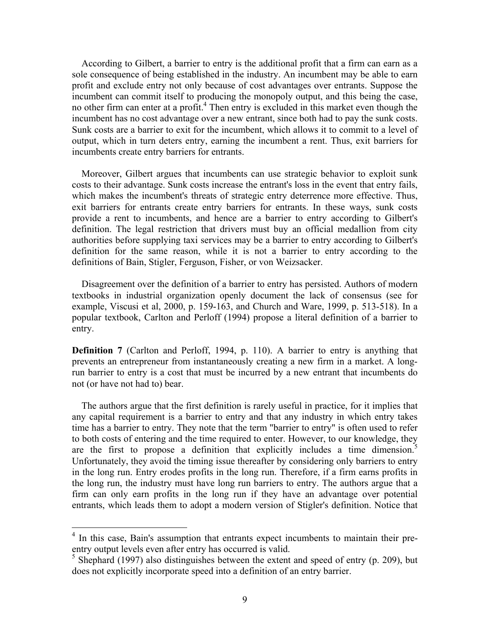According to Gilbert, a barrier to entry is the additional profit that a firm can earn as a sole consequence of being established in the industry. An incumbent may be able to earn profit and exclude entry not only because of cost advantages over entrants. Suppose the incumbent can commit itself to producing the monopoly output, and this being the case, no other firm can enter at a profit.<sup>4</sup> Then entry is excluded in this market even though the incumbent has no cost advantage over a new entrant, since both had to pay the sunk costs. Sunk costs are a barrier to exit for the incumbent, which allows it to commit to a level of output, which in turn deters entry, earning the incumbent a rent. Thus, exit barriers for incumbents create entry barriers for entrants.

 Moreover, Gilbert argues that incumbents can use strategic behavior to exploit sunk costs to their advantage. Sunk costs increase the entrant's loss in the event that entry fails, which makes the incumbent's threats of strategic entry deterrence more effective. Thus, exit barriers for entrants create entry barriers for entrants. In these ways, sunk costs provide a rent to incumbents, and hence are a barrier to entry according to Gilbert's definition. The legal restriction that drivers must buy an official medallion from city authorities before supplying taxi services may be a barrier to entry according to Gilbert's definition for the same reason, while it is not a barrier to entry according to the definitions of Bain, Stigler, Ferguson, Fisher, or von Weizsacker.

 Disagreement over the definition of a barrier to entry has persisted. Authors of modern textbooks in industrial organization openly document the lack of consensus (see for example, Viscusi et al, 2000, p. 159-163, and Church and Ware, 1999, p. 513-518). In a popular textbook, Carlton and Perloff (1994) propose a literal definition of a barrier to entry.

**Definition 7** (Carlton and Perloff, 1994, p. 110). A barrier to entry is anything that prevents an entrepreneur from instantaneously creating a new firm in a market. A longrun barrier to entry is a cost that must be incurred by a new entrant that incumbents do not (or have not had to) bear.

 The authors argue that the first definition is rarely useful in practice, for it implies that any capital requirement is a barrier to entry and that any industry in which entry takes time has a barrier to entry. They note that the term "barrier to entry" is often used to refer to both costs of entering and the time required to enter. However, to our knowledge, they are the first to propose a definition that explicitly includes a time dimension.<sup>5</sup> Unfortunately, they avoid the timing issue thereafter by considering only barriers to entry in the long run. Entry erodes profits in the long run. Therefore, if a firm earns profits in the long run, the industry must have long run barriers to entry. The authors argue that a firm can only earn profits in the long run if they have an advantage over potential entrants, which leads them to adopt a modern version of Stigler's definition. Notice that

1

<sup>&</sup>lt;sup>4</sup> In this case, Bain's assumption that entrants expect incumbents to maintain their preentry output levels even after entry has occurred is valid.

 $<sup>5</sup>$  Shephard (1997) also distinguishes between the extent and speed of entry (p. 209), but</sup> does not explicitly incorporate speed into a definition of an entry barrier.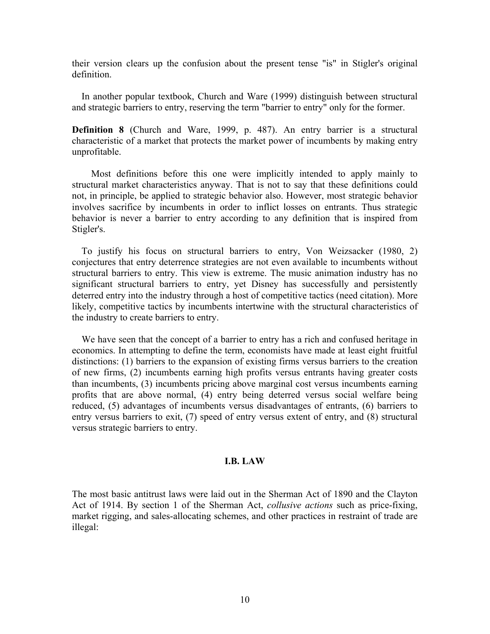their version clears up the confusion about the present tense "is" in Stigler's original definition.

 In another popular textbook, Church and Ware (1999) distinguish between structural and strategic barriers to entry, reserving the term "barrier to entry" only for the former.

**Definition 8** (Church and Ware, 1999, p. 487). An entry barrier is a structural characteristic of a market that protects the market power of incumbents by making entry unprofitable.

 Most definitions before this one were implicitly intended to apply mainly to structural market characteristics anyway. That is not to say that these definitions could not, in principle, be applied to strategic behavior also. However, most strategic behavior involves sacrifice by incumbents in order to inflict losses on entrants. Thus strategic behavior is never a barrier to entry according to any definition that is inspired from Stigler's.

 To justify his focus on structural barriers to entry, Von Weizsacker (1980, 2) conjectures that entry deterrence strategies are not even available to incumbents without structural barriers to entry. This view is extreme. The music animation industry has no significant structural barriers to entry, yet Disney has successfully and persistently deterred entry into the industry through a host of competitive tactics (need citation). More likely, competitive tactics by incumbents intertwine with the structural characteristics of the industry to create barriers to entry.

 We have seen that the concept of a barrier to entry has a rich and confused heritage in economics. In attempting to define the term, economists have made at least eight fruitful distinctions: (1) barriers to the expansion of existing firms versus barriers to the creation of new firms, (2) incumbents earning high profits versus entrants having greater costs than incumbents, (3) incumbents pricing above marginal cost versus incumbents earning profits that are above normal, (4) entry being deterred versus social welfare being reduced, (5) advantages of incumbents versus disadvantages of entrants, (6) barriers to entry versus barriers to exit, (7) speed of entry versus extent of entry, and (8) structural versus strategic barriers to entry.

### **I.B. LAW**

The most basic antitrust laws were laid out in the Sherman Act of 1890 and the Clayton Act of 1914. By section 1 of the Sherman Act, *collusive actions* such as price-fixing, market rigging, and sales-allocating schemes, and other practices in restraint of trade are illegal: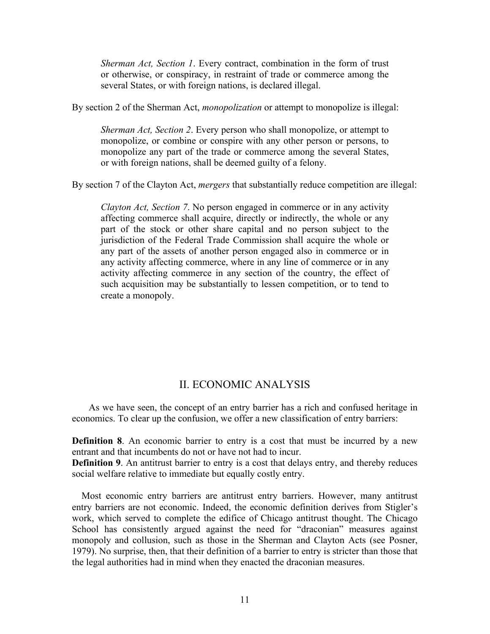*Sherman Act, Section 1*. Every contract, combination in the form of trust or otherwise, or conspiracy, in restraint of trade or commerce among the several States, or with foreign nations, is declared illegal.

By section 2 of the Sherman Act, *monopolization* or attempt to monopolize is illegal:

*Sherman Act, Section 2*. Every person who shall monopolize, or attempt to monopolize, or combine or conspire with any other person or persons, to monopolize any part of the trade or commerce among the several States, or with foreign nations, shall be deemed guilty of a felony.

By section 7 of the Clayton Act, *mergers* that substantially reduce competition are illegal:

*Clayton Act, Section 7*. No person engaged in commerce or in any activity affecting commerce shall acquire, directly or indirectly, the whole or any part of the stock or other share capital and no person subject to the jurisdiction of the Federal Trade Commission shall acquire the whole or any part of the assets of another person engaged also in commerce or in any activity affecting commerce, where in any line of commerce or in any activity affecting commerce in any section of the country, the effect of such acquisition may be substantially to lessen competition, or to tend to create a monopoly.

# II. ECONOMIC ANALYSIS

 As we have seen, the concept of an entry barrier has a rich and confused heritage in economics. To clear up the confusion, we offer a new classification of entry barriers:

**Definition 8.** An economic barrier to entry is a cost that must be incurred by a new entrant and that incumbents do not or have not had to incur.

**Definition 9.** An antitrust barrier to entry is a cost that delays entry, and thereby reduces social welfare relative to immediate but equally costly entry.

 Most economic entry barriers are antitrust entry barriers. However, many antitrust entry barriers are not economic. Indeed, the economic definition derives from Stigler's work, which served to complete the edifice of Chicago antitrust thought. The Chicago School has consistently argued against the need for "draconian" measures against monopoly and collusion, such as those in the Sherman and Clayton Acts (see Posner, 1979). No surprise, then, that their definition of a barrier to entry is stricter than those that the legal authorities had in mind when they enacted the draconian measures.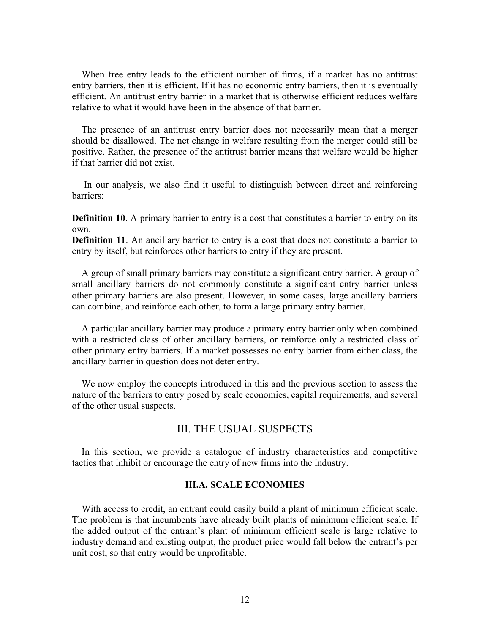When free entry leads to the efficient number of firms, if a market has no antitrust entry barriers, then it is efficient. If it has no economic entry barriers, then it is eventually efficient. An antitrust entry barrier in a market that is otherwise efficient reduces welfare relative to what it would have been in the absence of that barrier.

 The presence of an antitrust entry barrier does not necessarily mean that a merger should be disallowed. The net change in welfare resulting from the merger could still be positive. Rather, the presence of the antitrust barrier means that welfare would be higher if that barrier did not exist.

 In our analysis, we also find it useful to distinguish between direct and reinforcing barriers:

**Definition 10.** A primary barrier to entry is a cost that constitutes a barrier to entry on its own.

**Definition 11**. An ancillary barrier to entry is a cost that does not constitute a barrier to entry by itself, but reinforces other barriers to entry if they are present.

 A group of small primary barriers may constitute a significant entry barrier. A group of small ancillary barriers do not commonly constitute a significant entry barrier unless other primary barriers are also present. However, in some cases, large ancillary barriers can combine, and reinforce each other, to form a large primary entry barrier.

 A particular ancillary barrier may produce a primary entry barrier only when combined with a restricted class of other ancillary barriers, or reinforce only a restricted class of other primary entry barriers. If a market possesses no entry barrier from either class, the ancillary barrier in question does not deter entry.

 We now employ the concepts introduced in this and the previous section to assess the nature of the barriers to entry posed by scale economies, capital requirements, and several of the other usual suspects.

# III. THE USUAL SUSPECTS

 In this section, we provide a catalogue of industry characteristics and competitive tactics that inhibit or encourage the entry of new firms into the industry.

# **III.A. SCALE ECONOMIES**

 With access to credit, an entrant could easily build a plant of minimum efficient scale. The problem is that incumbents have already built plants of minimum efficient scale. If the added output of the entrant's plant of minimum efficient scale is large relative to industry demand and existing output, the product price would fall below the entrant's per unit cost, so that entry would be unprofitable.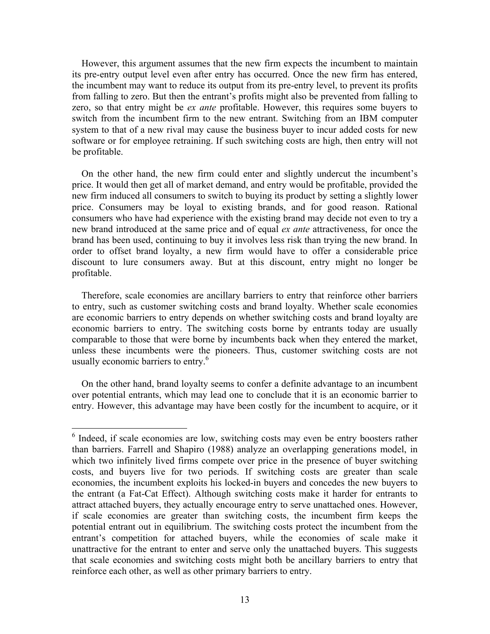However, this argument assumes that the new firm expects the incumbent to maintain its pre-entry output level even after entry has occurred. Once the new firm has entered, the incumbent may want to reduce its output from its pre-entry level, to prevent its profits from falling to zero. But then the entrant's profits might also be prevented from falling to zero, so that entry might be *ex ante* profitable. However, this requires some buyers to switch from the incumbent firm to the new entrant. Switching from an IBM computer system to that of a new rival may cause the business buyer to incur added costs for new software or for employee retraining. If such switching costs are high, then entry will not be profitable.

 On the other hand, the new firm could enter and slightly undercut the incumbent's price. It would then get all of market demand, and entry would be profitable, provided the new firm induced all consumers to switch to buying its product by setting a slightly lower price. Consumers may be loyal to existing brands, and for good reason. Rational consumers who have had experience with the existing brand may decide not even to try a new brand introduced at the same price and of equal *ex ante* attractiveness, for once the brand has been used, continuing to buy it involves less risk than trying the new brand. In order to offset brand loyalty, a new firm would have to offer a considerable price discount to lure consumers away. But at this discount, entry might no longer be profitable.

 Therefore, scale economies are ancillary barriers to entry that reinforce other barriers to entry, such as customer switching costs and brand loyalty. Whether scale economies are economic barriers to entry depends on whether switching costs and brand loyalty are economic barriers to entry. The switching costs borne by entrants today are usually comparable to those that were borne by incumbents back when they entered the market, unless these incumbents were the pioneers. Thus, customer switching costs are not usually economic barriers to entry.<sup>6</sup>

 On the other hand, brand loyalty seems to confer a definite advantage to an incumbent over potential entrants, which may lead one to conclude that it is an economic barrier to entry. However, this advantage may have been costly for the incumbent to acquire, or it

<sup>&</sup>lt;sup>6</sup> Indeed, if scale economies are low, switching costs may even be entry boosters rather than barriers. Farrell and Shapiro (1988) analyze an overlapping generations model, in which two infinitely lived firms compete over price in the presence of buyer switching costs, and buyers live for two periods. If switching costs are greater than scale economies, the incumbent exploits his locked-in buyers and concedes the new buyers to the entrant (a Fat-Cat Effect). Although switching costs make it harder for entrants to attract attached buyers, they actually encourage entry to serve unattached ones. However, if scale economies are greater than switching costs, the incumbent firm keeps the potential entrant out in equilibrium. The switching costs protect the incumbent from the entrant's competition for attached buyers, while the economies of scale make it unattractive for the entrant to enter and serve only the unattached buyers. This suggests that scale economies and switching costs might both be ancillary barriers to entry that reinforce each other, as well as other primary barriers to entry.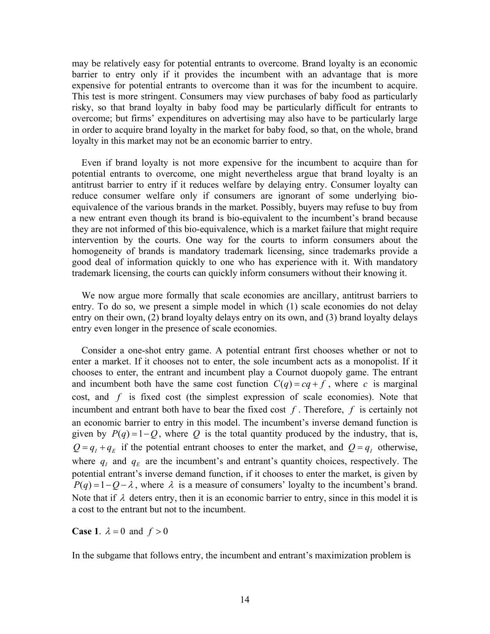may be relatively easy for potential entrants to overcome. Brand loyalty is an economic barrier to entry only if it provides the incumbent with an advantage that is more expensive for potential entrants to overcome than it was for the incumbent to acquire. This test is more stringent. Consumers may view purchases of baby food as particularly risky, so that brand loyalty in baby food may be particularly difficult for entrants to overcome; but firms' expenditures on advertising may also have to be particularly large in order to acquire brand loyalty in the market for baby food, so that, on the whole, brand loyalty in this market may not be an economic barrier to entry.

 Even if brand loyalty is not more expensive for the incumbent to acquire than for potential entrants to overcome, one might nevertheless argue that brand loyalty is an antitrust barrier to entry if it reduces welfare by delaying entry. Consumer loyalty can reduce consumer welfare only if consumers are ignorant of some underlying bioequivalence of the various brands in the market. Possibly, buyers may refuse to buy from a new entrant even though its brand is bio-equivalent to the incumbent's brand because they are not informed of this bio-equivalence, which is a market failure that might require intervention by the courts. One way for the courts to inform consumers about the homogeneity of brands is mandatory trademark licensing, since trademarks provide a good deal of information quickly to one who has experience with it. With mandatory trademark licensing, the courts can quickly inform consumers without their knowing it.

 We now argue more formally that scale economies are ancillary, antitrust barriers to entry. To do so, we present a simple model in which (1) scale economies do not delay entry on their own, (2) brand loyalty delays entry on its own, and (3) brand loyalty delays entry even longer in the presence of scale economies.

 Consider a one-shot entry game. A potential entrant first chooses whether or not to enter a market. If it chooses not to enter, the sole incumbent acts as a monopolist. If it chooses to enter, the entrant and incumbent play a Cournot duopoly game. The entrant and incumbent both have the same cost function  $C(q) = cq + f$ , where *c* is marginal cost, and *f* is fixed cost (the simplest expression of scale economies). Note that incumbent and entrant both have to bear the fixed cost  $f$ . Therefore,  $f$  is certainly not an economic barrier to entry in this model. The incumbent's inverse demand function is given by  $P(q) = 1 - Q$ , where Q is the total quantity produced by the industry, that is,  $Q = q_I + q_E$  if the potential entrant chooses to enter the market, and  $Q = q_I$  otherwise, where  $q_l$  and  $q_E$  are the incumbent's and entrant's quantity choices, respectively. The potential entrant's inverse demand function, if it chooses to enter the market, is given by  $P(q) = 1 - Q - \lambda$ , where  $\lambda$  is a measure of consumers' loyalty to the incumbent's brand. Note that if  $\lambda$  deters entry, then it is an economic barrier to entry, since in this model it is a cost to the entrant but not to the incumbent.

**Case 1**.  $\lambda = 0$  and  $f > 0$ 

In the subgame that follows entry, the incumbent and entrant's maximization problem is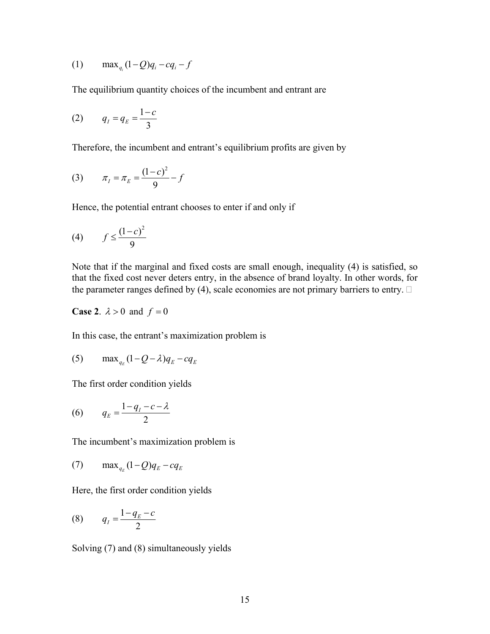$$
(1) \qquad \max_{q_i} (1 - Q)q_i - cq_i - f
$$

The equilibrium quantity choices of the incumbent and entrant are

(2) 
$$
q_1 = q_E = \frac{1-c}{3}
$$

Therefore, the incumbent and entrant's equilibrium profits are given by

(3) 
$$
\pi_I = \pi_E = \frac{(1-c)^2}{9} - f
$$

Hence, the potential entrant chooses to enter if and only if

$$
(4) \qquad f \leq \frac{(1-c)^2}{9}
$$

Note that if the marginal and fixed costs are small enough, inequality (4) is satisfied, so that the fixed cost never deters entry, in the absence of brand loyalty. In other words, for the parameter ranges defined by (4), scale economies are not primary barriers to entry.  $\Box$ 

Case 2. 
$$
\lambda > 0
$$
 and  $f = 0$ 

In this case, the entrant's maximization problem is

$$
(5) \qquad \max_{q_E} (1 - Q - \lambda) q_E - c q_E
$$

The first order condition yields

$$
(6) \qquad q_E = \frac{1 - q_I - c - \lambda}{2}
$$

The incumbent's maximization problem is

$$
(7) \qquad \max_{q_E} (1 - Q) q_E - c q_E
$$

Here, the first order condition yields

(8) 
$$
q_1 = \frac{1 - q_E - c}{2}
$$

Solving (7) and (8) simultaneously yields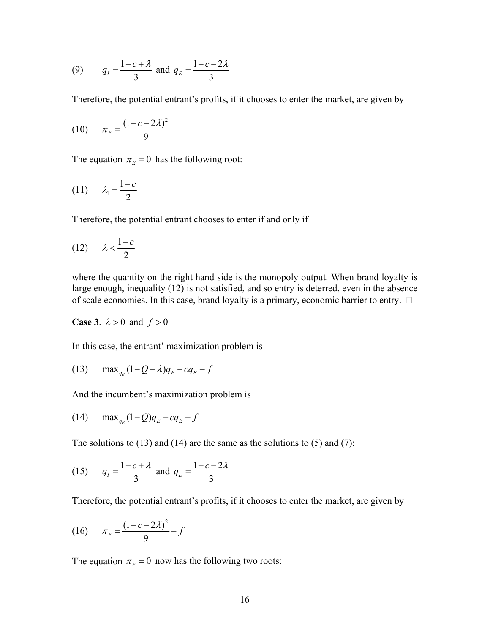(9) 
$$
q_1 = \frac{1 - c + \lambda}{3}
$$
 and  $q_E = \frac{1 - c - 2\lambda}{3}$ 

Therefore, the potential entrant's profits, if it chooses to enter the market, are given by

$$
(10) \qquad \pi_E = \frac{(1 - c - 2\lambda)^2}{9}
$$

The equation  $\pi_E = 0$  has the following root:

$$
(11) \qquad \lambda_1 = \frac{1-c}{2}
$$

Therefore, the potential entrant chooses to enter if and only if

$$
(12)\qquad \lambda < \frac{1-c}{2}
$$

where the quantity on the right hand side is the monopoly output. When brand loyalty is large enough, inequality (12) is not satisfied, and so entry is deterred, even in the absence of scale economies. In this case, brand loyalty is a primary, economic barrier to entry.  $\Box$ 

Case 3. 
$$
\lambda > 0
$$
 and  $f > 0$ 

In this case, the entrant' maximization problem is

$$
(13) \quad \max_{q_E} (1 - Q - \lambda) q_E - c q_E - f
$$

And the incumbent's maximization problem is

(14) 
$$
\max_{q_E} (1 - Q) q_E - c q_E - f
$$

The solutions to  $(13)$  and  $(14)$  are the same as the solutions to  $(5)$  and  $(7)$ :

(15) 
$$
q_1 = \frac{1 - c + \lambda}{3}
$$
 and  $q_E = \frac{1 - c - 2\lambda}{3}$ 

Therefore, the potential entrant's profits, if it chooses to enter the market, are given by

$$
(16) \qquad \pi_E = \frac{(1 - c - 2\lambda)^2}{9} - f
$$

The equation  $\pi_E = 0$  now has the following two roots: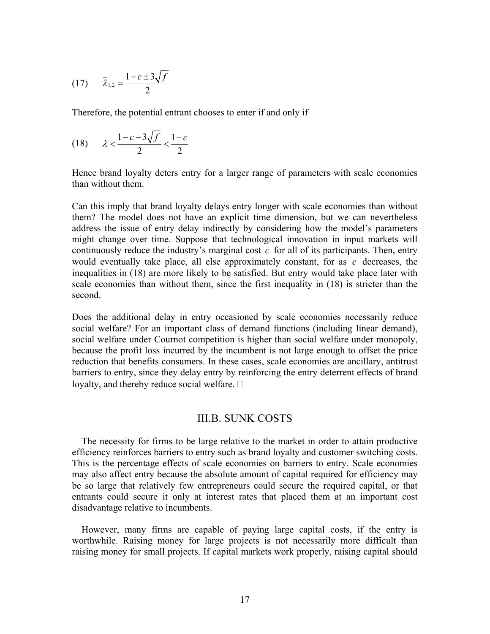$$
(17) \qquad \widetilde{\lambda}_{1,2} = \frac{1-c \pm 3\sqrt{f}}{2}
$$

Therefore, the potential entrant chooses to enter if and only if

(18) 
$$
\lambda < \frac{1 - c - 3\sqrt{f}}{2} < \frac{1 - c}{2}
$$

Hence brand loyalty deters entry for a larger range of parameters with scale economies than without them.

Can this imply that brand loyalty delays entry longer with scale economies than without them? The model does not have an explicit time dimension, but we can nevertheless address the issue of entry delay indirectly by considering how the model's parameters might change over time. Suppose that technological innovation in input markets will continuously reduce the industry's marginal cost *c* for all of its participants. Then, entry would eventually take place, all else approximately constant, for as *c* decreases, the inequalities in (18) are more likely to be satisfied. But entry would take place later with scale economies than without them, since the first inequality in (18) is stricter than the second.

Does the additional delay in entry occasioned by scale economies necessarily reduce social welfare? For an important class of demand functions (including linear demand), social welfare under Cournot competition is higher than social welfare under monopoly, because the profit loss incurred by the incumbent is not large enough to offset the price reduction that benefits consumers. In these cases, scale economies are ancillary, antitrust barriers to entry, since they delay entry by reinforcing the entry deterrent effects of brand loyalty, and thereby reduce social welfare.

# III.B. SUNK COSTS

 The necessity for firms to be large relative to the market in order to attain productive efficiency reinforces barriers to entry such as brand loyalty and customer switching costs. This is the percentage effects of scale economies on barriers to entry. Scale economies may also affect entry because the absolute amount of capital required for efficiency may be so large that relatively few entrepreneurs could secure the required capital, or that entrants could secure it only at interest rates that placed them at an important cost disadvantage relative to incumbents.

 However, many firms are capable of paying large capital costs, if the entry is worthwhile. Raising money for large projects is not necessarily more difficult than raising money for small projects. If capital markets work properly, raising capital should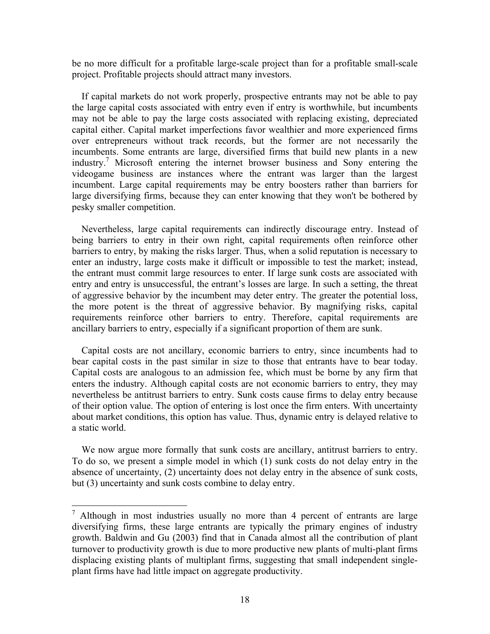be no more difficult for a profitable large-scale project than for a profitable small-scale project. Profitable projects should attract many investors.

 If capital markets do not work properly, prospective entrants may not be able to pay the large capital costs associated with entry even if entry is worthwhile, but incumbents may not be able to pay the large costs associated with replacing existing, depreciated capital either. Capital market imperfections favor wealthier and more experienced firms over entrepreneurs without track records, but the former are not necessarily the incumbents. Some entrants are large, diversified firms that build new plants in a new industry.7 Microsoft entering the internet browser business and Sony entering the videogame business are instances where the entrant was larger than the largest incumbent. Large capital requirements may be entry boosters rather than barriers for large diversifying firms, because they can enter knowing that they won't be bothered by pesky smaller competition.

 Nevertheless, large capital requirements can indirectly discourage entry. Instead of being barriers to entry in their own right, capital requirements often reinforce other barriers to entry, by making the risks larger. Thus, when a solid reputation is necessary to enter an industry, large costs make it difficult or impossible to test the market; instead, the entrant must commit large resources to enter. If large sunk costs are associated with entry and entry is unsuccessful, the entrant's losses are large. In such a setting, the threat of aggressive behavior by the incumbent may deter entry. The greater the potential loss, the more potent is the threat of aggressive behavior. By magnifying risks, capital requirements reinforce other barriers to entry. Therefore, capital requirements are ancillary barriers to entry, especially if a significant proportion of them are sunk.

 Capital costs are not ancillary, economic barriers to entry, since incumbents had to bear capital costs in the past similar in size to those that entrants have to bear today. Capital costs are analogous to an admission fee, which must be borne by any firm that enters the industry. Although capital costs are not economic barriers to entry, they may nevertheless be antitrust barriers to entry. Sunk costs cause firms to delay entry because of their option value. The option of entering is lost once the firm enters. With uncertainty about market conditions, this option has value. Thus, dynamic entry is delayed relative to a static world.

We now argue more formally that sunk costs are ancillary, antitrust barriers to entry. To do so, we present a simple model in which (1) sunk costs do not delay entry in the absence of uncertainty, (2) uncertainty does not delay entry in the absence of sunk costs, but (3) uncertainty and sunk costs combine to delay entry.

 $\overline{a}$ 

 $<sup>7</sup>$  Although in most industries usually no more than 4 percent of entrants are large</sup> diversifying firms, these large entrants are typically the primary engines of industry growth. Baldwin and Gu (2003) find that in Canada almost all the contribution of plant turnover to productivity growth is due to more productive new plants of multi-plant firms displacing existing plants of multiplant firms, suggesting that small independent singleplant firms have had little impact on aggregate productivity.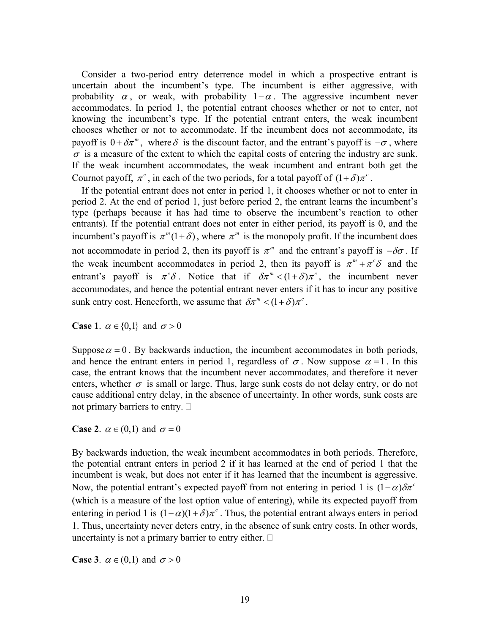Consider a two-period entry deterrence model in which a prospective entrant is uncertain about the incumbent's type. The incumbent is either aggressive, with probability  $\alpha$ , or weak, with probability  $1-\alpha$ . The aggressive incumbent never accommodates. In period 1, the potential entrant chooses whether or not to enter, not knowing the incumbent's type. If the potential entrant enters, the weak incumbent chooses whether or not to accommodate. If the incumbent does not accommodate, its payoff is  $0 + \delta \pi^m$ , where  $\delta$  is the discount factor, and the entrant's payoff is  $-\sigma$ , where  $\sigma$  is a measure of the extent to which the capital costs of entering the industry are sunk. If the weak incumbent accommodates, the weak incumbent and entrant both get the Cournot payoff,  $\pi^c$ , in each of the two periods, for a total payoff of  $(1+\delta)\pi^c$ .

 If the potential entrant does not enter in period 1, it chooses whether or not to enter in period 2. At the end of period 1, just before period 2, the entrant learns the incumbent's type (perhaps because it has had time to observe the incumbent's reaction to other entrants). If the potential entrant does not enter in either period, its payoff is 0, and the incumbent's payoff is  $\pi^m(1 + \delta)$ , where  $\pi^m$  is the monopoly profit. If the incumbent does not accommodate in period 2, then its payoff is  $\pi^m$  and the entrant's payoff is  $-\delta\sigma$ . If the weak incumbent accommodates in period 2, then its payoff is  $\pi^m + \pi^c \delta$  and the entrant's payoff is  $\pi^c \delta$ . Notice that if  $\delta \pi^m < (1 + \delta) \pi^c$ , the incumbent never accommodates, and hence the potential entrant never enters if it has to incur any positive sunk entry cost. Henceforth, we assume that  $\delta \pi^m < (1 + \delta) \pi^c$ .

**Case 1**.  $\alpha \in \{0,1\}$  and  $\sigma > 0$ 

Suppose  $\alpha = 0$ . By backwards induction, the incumbent accommodates in both periods, and hence the entrant enters in period 1, regardless of  $\sigma$ . Now suppose  $\alpha = 1$ . In this case, the entrant knows that the incumbent never accommodates, and therefore it never enters, whether  $\sigma$  is small or large. Thus, large sunk costs do not delay entry, or do not cause additional entry delay, in the absence of uncertainty. In other words, sunk costs are not primary barriers to entry.

**Case 2**.  $\alpha \in (0,1)$  and  $\sigma = 0$ 

By backwards induction, the weak incumbent accommodates in both periods. Therefore, the potential entrant enters in period 2 if it has learned at the end of period 1 that the incumbent is weak, but does not enter if it has learned that the incumbent is aggressive. Now, the potential entrant's expected payoff from not entering in period 1 is  $(1 - \alpha)\delta \pi^c$ (which is a measure of the lost option value of entering), while its expected payoff from entering in period 1 is  $(1 - \alpha)(1 + \delta)\pi^c$ . Thus, the potential entrant always enters in period 1. Thus, uncertainty never deters entry, in the absence of sunk entry costs. In other words, uncertainty is not a primary barrier to entry either.  $\square$ 

**Case 3**.  $\alpha \in (0,1)$  and  $\sigma > 0$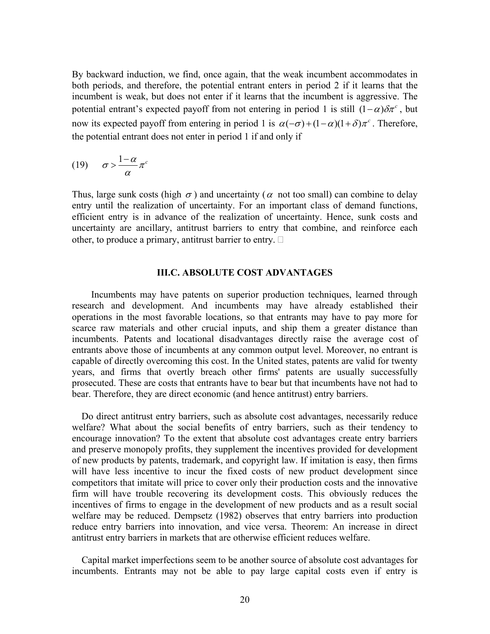By backward induction, we find, once again, that the weak incumbent accommodates in both periods, and therefore, the potential entrant enters in period 2 if it learns that the incumbent is weak, but does not enter if it learns that the incumbent is aggressive. The potential entrant's expected payoff from not entering in period 1 is still  $(1 - \alpha)\delta \pi^c$ , but now its expected payoff from entering in period 1 is  $\alpha(-\sigma) + (1 - \alpha)(1 + \delta)\pi^c$ . Therefore, the potential entrant does not enter in period 1 if and only if

$$
(19) \qquad \sigma > \frac{1-\alpha}{\alpha} \pi^c
$$

Thus, large sunk costs (high  $\sigma$ ) and uncertainty ( $\alpha$  not too small) can combine to delay entry until the realization of uncertainty. For an important class of demand functions, efficient entry is in advance of the realization of uncertainty. Hence, sunk costs and uncertainty are ancillary, antitrust barriers to entry that combine, and reinforce each other, to produce a primary, antitrust barrier to entry.  $\Box$ 

# **III.C. ABSOLUTE COST ADVANTAGES**

 Incumbents may have patents on superior production techniques, learned through research and development. And incumbents may have already established their operations in the most favorable locations, so that entrants may have to pay more for scarce raw materials and other crucial inputs, and ship them a greater distance than incumbents. Patents and locational disadvantages directly raise the average cost of entrants above those of incumbents at any common output level. Moreover, no entrant is capable of directly overcoming this cost. In the United states, patents are valid for twenty years, and firms that overtly breach other firms' patents are usually successfully prosecuted. These are costs that entrants have to bear but that incumbents have not had to bear. Therefore, they are direct economic (and hence antitrust) entry barriers.

 Do direct antitrust entry barriers, such as absolute cost advantages, necessarily reduce welfare? What about the social benefits of entry barriers, such as their tendency to encourage innovation? To the extent that absolute cost advantages create entry barriers and preserve monopoly profits, they supplement the incentives provided for development of new products by patents, trademark, and copyright law. If imitation is easy, then firms will have less incentive to incur the fixed costs of new product development since competitors that imitate will price to cover only their production costs and the innovative firm will have trouble recovering its development costs. This obviously reduces the incentives of firms to engage in the development of new products and as a result social welfare may be reduced. Dempsetz (1982) observes that entry barriers into production reduce entry barriers into innovation, and vice versa. Theorem: An increase in direct antitrust entry barriers in markets that are otherwise efficient reduces welfare.

 Capital market imperfections seem to be another source of absolute cost advantages for incumbents. Entrants may not be able to pay large capital costs even if entry is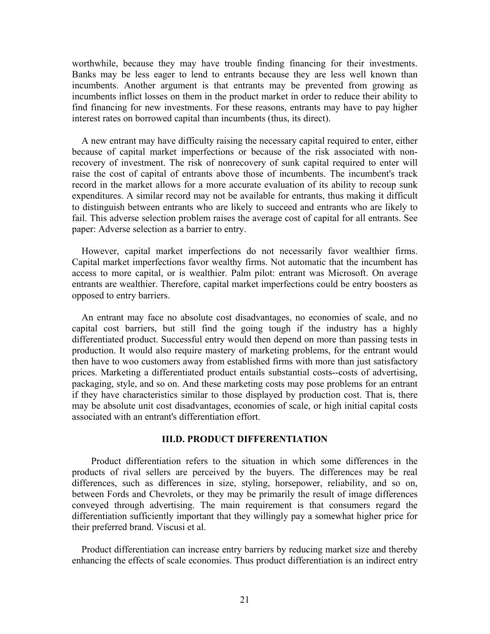worthwhile, because they may have trouble finding financing for their investments. Banks may be less eager to lend to entrants because they are less well known than incumbents. Another argument is that entrants may be prevented from growing as incumbents inflict losses on them in the product market in order to reduce their ability to find financing for new investments. For these reasons, entrants may have to pay higher interest rates on borrowed capital than incumbents (thus, its direct).

 A new entrant may have difficulty raising the necessary capital required to enter, either because of capital market imperfections or because of the risk associated with nonrecovery of investment. The risk of nonrecovery of sunk capital required to enter will raise the cost of capital of entrants above those of incumbents. The incumbent's track record in the market allows for a more accurate evaluation of its ability to recoup sunk expenditures. A similar record may not be available for entrants, thus making it difficult to distinguish between entrants who are likely to succeed and entrants who are likely to fail. This adverse selection problem raises the average cost of capital for all entrants. See paper: Adverse selection as a barrier to entry.

 However, capital market imperfections do not necessarily favor wealthier firms. Capital market imperfections favor wealthy firms. Not automatic that the incumbent has access to more capital, or is wealthier. Palm pilot: entrant was Microsoft. On average entrants are wealthier. Therefore, capital market imperfections could be entry boosters as opposed to entry barriers.

 An entrant may face no absolute cost disadvantages, no economies of scale, and no capital cost barriers, but still find the going tough if the industry has a highly differentiated product. Successful entry would then depend on more than passing tests in production. It would also require mastery of marketing problems, for the entrant would then have to woo customers away from established firms with more than just satisfactory prices. Marketing a differentiated product entails substantial costs--costs of advertising, packaging, style, and so on. And these marketing costs may pose problems for an entrant if they have characteristics similar to those displayed by production cost. That is, there may be absolute unit cost disadvantages, economies of scale, or high initial capital costs associated with an entrant's differentiation effort.

#### **III.D. PRODUCT DIFFERENTIATION**

 Product differentiation refers to the situation in which some differences in the products of rival sellers are perceived by the buyers. The differences may be real differences, such as differences in size, styling, horsepower, reliability, and so on, between Fords and Chevrolets, or they may be primarily the result of image differences conveyed through advertising. The main requirement is that consumers regard the differentiation sufficiently important that they willingly pay a somewhat higher price for their preferred brand. Viscusi et al.

 Product differentiation can increase entry barriers by reducing market size and thereby enhancing the effects of scale economies. Thus product differentiation is an indirect entry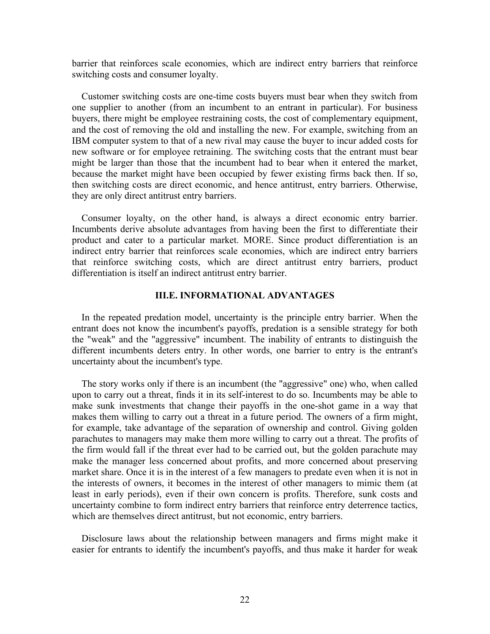barrier that reinforces scale economies, which are indirect entry barriers that reinforce switching costs and consumer loyalty.

 Customer switching costs are one-time costs buyers must bear when they switch from one supplier to another (from an incumbent to an entrant in particular). For business buyers, there might be employee restraining costs, the cost of complementary equipment, and the cost of removing the old and installing the new. For example, switching from an IBM computer system to that of a new rival may cause the buyer to incur added costs for new software or for employee retraining. The switching costs that the entrant must bear might be larger than those that the incumbent had to bear when it entered the market, because the market might have been occupied by fewer existing firms back then. If so, then switching costs are direct economic, and hence antitrust, entry barriers. Otherwise, they are only direct antitrust entry barriers.

 Consumer loyalty, on the other hand, is always a direct economic entry barrier. Incumbents derive absolute advantages from having been the first to differentiate their product and cater to a particular market. MORE. Since product differentiation is an indirect entry barrier that reinforces scale economies, which are indirect entry barriers that reinforce switching costs, which are direct antitrust entry barriers, product differentiation is itself an indirect antitrust entry barrier.

# **III.E. INFORMATIONAL ADVANTAGES**

 In the repeated predation model, uncertainty is the principle entry barrier. When the entrant does not know the incumbent's payoffs, predation is a sensible strategy for both the "weak" and the "aggressive" incumbent. The inability of entrants to distinguish the different incumbents deters entry. In other words, one barrier to entry is the entrant's uncertainty about the incumbent's type.

 The story works only if there is an incumbent (the "aggressive" one) who, when called upon to carry out a threat, finds it in its self-interest to do so. Incumbents may be able to make sunk investments that change their payoffs in the one-shot game in a way that makes them willing to carry out a threat in a future period. The owners of a firm might, for example, take advantage of the separation of ownership and control. Giving golden parachutes to managers may make them more willing to carry out a threat. The profits of the firm would fall if the threat ever had to be carried out, but the golden parachute may make the manager less concerned about profits, and more concerned about preserving market share. Once it is in the interest of a few managers to predate even when it is not in the interests of owners, it becomes in the interest of other managers to mimic them (at least in early periods), even if their own concern is profits. Therefore, sunk costs and uncertainty combine to form indirect entry barriers that reinforce entry deterrence tactics, which are themselves direct antitrust, but not economic, entry barriers.

 Disclosure laws about the relationship between managers and firms might make it easier for entrants to identify the incumbent's payoffs, and thus make it harder for weak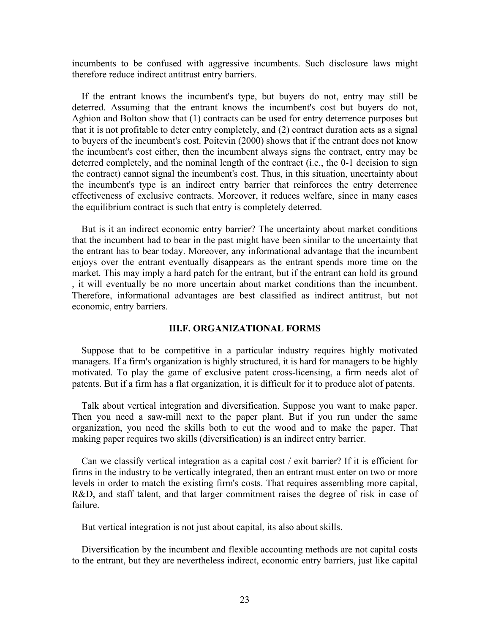incumbents to be confused with aggressive incumbents. Such disclosure laws might therefore reduce indirect antitrust entry barriers.

 If the entrant knows the incumbent's type, but buyers do not, entry may still be deterred. Assuming that the entrant knows the incumbent's cost but buyers do not, Aghion and Bolton show that (1) contracts can be used for entry deterrence purposes but that it is not profitable to deter entry completely, and (2) contract duration acts as a signal to buyers of the incumbent's cost. Poitevin (2000) shows that if the entrant does not know the incumbent's cost either, then the incumbent always signs the contract, entry may be deterred completely, and the nominal length of the contract (i.e., the 0-1 decision to sign the contract) cannot signal the incumbent's cost. Thus, in this situation, uncertainty about the incumbent's type is an indirect entry barrier that reinforces the entry deterrence effectiveness of exclusive contracts. Moreover, it reduces welfare, since in many cases the equilibrium contract is such that entry is completely deterred.

 But is it an indirect economic entry barrier? The uncertainty about market conditions that the incumbent had to bear in the past might have been similar to the uncertainty that the entrant has to bear today. Moreover, any informational advantage that the incumbent enjoys over the entrant eventually disappears as the entrant spends more time on the market. This may imply a hard patch for the entrant, but if the entrant can hold its ground , it will eventually be no more uncertain about market conditions than the incumbent. Therefore, informational advantages are best classified as indirect antitrust, but not economic, entry barriers.

### **III.F. ORGANIZATIONAL FORMS**

 Suppose that to be competitive in a particular industry requires highly motivated managers. If a firm's organization is highly structured, it is hard for managers to be highly motivated. To play the game of exclusive patent cross-licensing, a firm needs alot of patents. But if a firm has a flat organization, it is difficult for it to produce alot of patents.

 Talk about vertical integration and diversification. Suppose you want to make paper. Then you need a saw-mill next to the paper plant. But if you run under the same organization, you need the skills both to cut the wood and to make the paper. That making paper requires two skills (diversification) is an indirect entry barrier.

 Can we classify vertical integration as a capital cost / exit barrier? If it is efficient for firms in the industry to be vertically integrated, then an entrant must enter on two or more levels in order to match the existing firm's costs. That requires assembling more capital, R&D, and staff talent, and that larger commitment raises the degree of risk in case of failure.

But vertical integration is not just about capital, its also about skills.

 Diversification by the incumbent and flexible accounting methods are not capital costs to the entrant, but they are nevertheless indirect, economic entry barriers, just like capital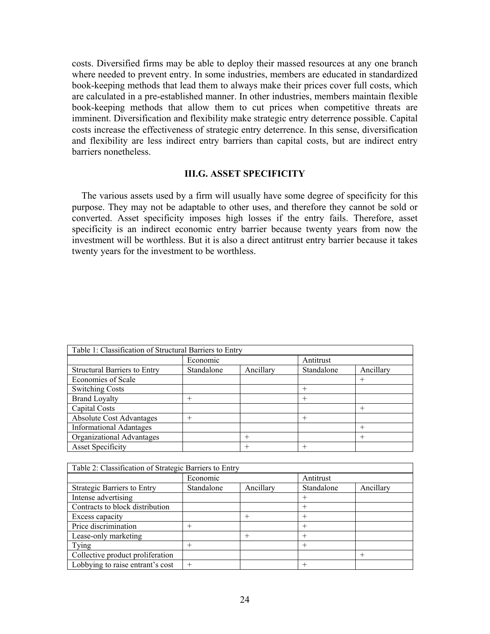costs. Diversified firms may be able to deploy their massed resources at any one branch where needed to prevent entry. In some industries, members are educated in standardized book-keeping methods that lead them to always make their prices cover full costs, which are calculated in a pre-established manner. In other industries, members maintain flexible book-keeping methods that allow them to cut prices when competitive threats are imminent. Diversification and flexibility make strategic entry deterrence possible. Capital costs increase the effectiveness of strategic entry deterrence. In this sense, diversification and flexibility are less indirect entry barriers than capital costs, but are indirect entry barriers nonetheless.

### **III.G. ASSET SPECIFICITY**

 The various assets used by a firm will usually have some degree of specificity for this purpose. They may not be adaptable to other uses, and therefore they cannot be sold or converted. Asset specificity imposes high losses if the entry fails. Therefore, asset specificity is an indirect economic entry barrier because twenty years from now the investment will be worthless. But it is also a direct antitrust entry barrier because it takes twenty years for the investment to be worthless.

| Table 1: Classification of Structural Barriers to Entry |              |           |            |           |
|---------------------------------------------------------|--------------|-----------|------------|-----------|
|                                                         | Economic     |           | Antitrust  |           |
| <b>Structural Barriers to Entry</b>                     | Standalone   | Ancillary | Standalone | Ancillary |
| Economies of Scale                                      |              |           |            |           |
| <b>Switching Costs</b>                                  |              |           |            |           |
| <b>Brand Loyalty</b>                                    | $^{+}$       |           |            |           |
| Capital Costs                                           |              |           |            |           |
| <b>Absolute Cost Advantages</b>                         | $\mathrm{+}$ |           |            |           |
| <b>Informational Adantages</b>                          |              |           |            |           |
| Organizational Advantages                               |              |           |            | $^+$      |
| <b>Asset Specificity</b>                                |              |           |            |           |

| Table 2: Classification of Strategic Barriers to Entry |            |           |            |           |
|--------------------------------------------------------|------------|-----------|------------|-----------|
|                                                        | Economic   |           | Antitrust  |           |
| <b>Strategic Barriers to Entry</b>                     | Standalone | Ancillary | Standalone | Ancillary |
| Intense advertising                                    |            |           |            |           |
| Contracts to block distribution                        |            |           |            |           |
| Excess capacity                                        |            | $^{+}$    |            |           |
| Price discrimination                                   | $^+$       |           |            |           |
| Lease-only marketing                                   |            | $+$       |            |           |
| Tying                                                  | $^{+}$     |           |            |           |
| Collective product proliferation                       |            |           |            | $^{+}$    |
| Lobbying to raise entrant's cost                       | $^{+}$     |           |            |           |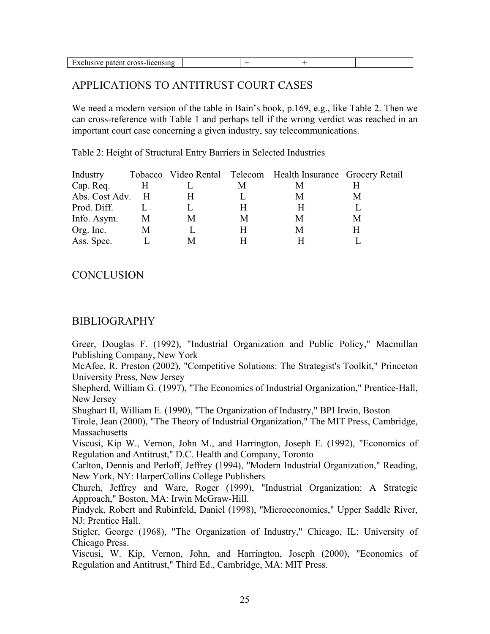| ----<br>SIN٤<br>- на е<br>20 H<br>5-LB<br>,,,,, |  |  |
|-------------------------------------------------|--|--|
|                                                 |  |  |

# APPLICATIONS TO ANTITRUST COURT CASES

We need a modern version of the table in Bain's book, p.169, e.g., like Table 2. Then we can cross-reference with Table 1 and perhaps tell if the wrong verdict was reached in an important court case concerning a given industry, say telecommunications.

Table 2: Height of Structural Entry Barriers in Selected Industries

| Industry       |   |   |   | Tobacco Video Rental Telecom Health Insurance Grocery Retail |   |
|----------------|---|---|---|--------------------------------------------------------------|---|
| Cap. Req.      |   |   |   |                                                              |   |
| Abs. Cost Adv. | н |   |   | М                                                            |   |
| Prod. Diff.    |   |   |   | н                                                            |   |
| Info. Asym.    | M | M | M | М                                                            | М |
| Org. Inc.      | M |   |   | М                                                            |   |
| Ass. Spec.     |   | М |   |                                                              |   |

# **CONCLUSION**

# BIBLIOGRAPHY

Greer, Douglas F. (1992), "Industrial Organization and Public Policy," Macmillan Publishing Company, New York

McAfee, R. Preston (2002), "Competitive Solutions: The Strategist's Toolkit," Princeton University Press, New Jersey

Shepherd, William G. (1997), "The Economics of Industrial Organization," Prentice-Hall, New Jersey

Shughart II, William E. (1990), "The Organization of Industry," BPI Irwin, Boston

Tirole, Jean (2000), "The Theory of Industrial Organization," The MIT Press, Cambridge, **Massachusetts** 

Viscusi, Kip W., Vernon, John M., and Harrington, Joseph E. (1992), "Economics of Regulation and Antitrust," D.C. Health and Company, Toronto

Carlton, Dennis and Perloff, Jeffrey (1994), "Modern Industrial Organization," Reading, New York, NY: HarperCollins College Publishers

Church, Jeffrey and Ware, Roger (1999), "Industrial Organization: A Strategic Approach," Boston, MA: Irwin McGraw-Hill.

Pindyck, Robert and Rubinfeld, Daniel (1998), "Microeconomics," Upper Saddle River, NJ: Prentice Hall.

Stigler, George (1968), "The Organization of Industry," Chicago, IL: University of Chicago Press.

Viscusi, W. Kip, Vernon, John, and Harrington, Joseph (2000), "Economics of Regulation and Antitrust," Third Ed., Cambridge, MA: MIT Press.